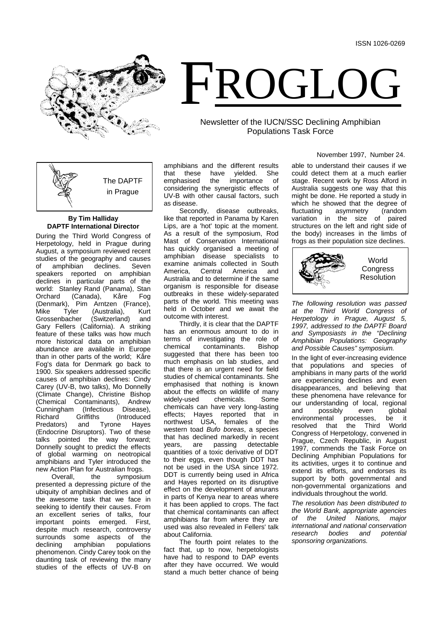

# FROGLOG

# Newsletter of the IUCN/SSC Declining Amphibian Populations Task Force

The DAPTF in Prague

# **By Tim Halliday DAPTF International Director**

During the Third World Congress of Herpetology, held in Prague during August, a symposium reviewed recent studies of the geography and causes<br>of amphibian declines. Seven amphibian declines. speakers reported on amphibian declines in particular parts of the world: Stanley Rand (Panama), Stan<br>Orchard (Canada), Kåre Fog Orchard (Canada), Kåre Fog (Denmark), Pim Arntzen (France), Mike Tyler (Australia), Kurt<br>Grossenbacher (Switzerland) and Grossenbacher Gary Fellers (California). A striking feature of these talks was how much more historical data on amphibian abundance are available in Europe than in other parts of the world; Kåre Fog's data for Denmark go back to 1900. Six speakers addressed specific causes of amphibian declines: Cindy Carey (UV-B, two talks), Mo Donnelly (Climate Change), Christine Bishop (Chemical Contaminants), Andrew<br>Cunningham (Infectious Disease), Cunningham (Infectious<br>Richard Griffiths Griffiths (Introduced<br>and Tyrone Hayes Predators) (Endocrine Disruptors). Two of these talks pointed the way forward; Donnelly sought to predict the effects of global warming on neotropical amphibians and Tyler introduced the

new Action Plan for Australian frogs.<br>Overall, the symposium symposium presented a depressing picture of the ubiquity of amphibian declines and of the awesome task that we face in seeking to identify their causes. From an excellent series of talks, four important points emerged. First, despite much research, controversy surrounds some aspects of the<br>declining amphibian populations amphibian populations phenomenon. Cindy Carey took on the daunting task of reviewing the many studies of the effects of UV-B on amphibians and the different results<br>that these have yielded. She that these have yielded.<br>emphasised the importance emphasised the importance of considering the synergistic effects of UV-B with other causal factors, such as disease.

Secondly, disease outbreaks, like that reported in Panama by Karen Lips, are a 'hot' topic at the moment. As a result of the symposium, Rod Mast of Conservation International has quickly organised a meeting of amphibian disease specialists to examine animals collected in South<br>America. Central America and Central America Australia and to determine if the same organism is responsible for disease outbreaks in these widely-separated parts of the world. This meeting was held in October and we await the outcome with interest.

Thirdly, it is clear that the DAPTF has an enormous amount to do in terms of investigating the role of<br>
chemical contaminants. Bishop contaminants. suggested that there has been too much emphasis on lab studies, and that there is an urgent need for field studies of chemical contaminants. She emphasised that nothing is known about the effects on wildlife of many<br>widely-used chemicals. Some widely-used chemicals can have very long-lasting effects; Hayes reported that in northwest USA, females of the western toad *Bufo boreas*, a species that has declined markedly in recent<br>vears. are passing detectable passing quantities of a toxic derivative of DDT to their eggs, even though DDT has not be used in the USA since 1972. DDT is currently being used in Africa and Hayes reported on its disruptive effect on the development of anurans in parts of Kenya near to areas where it has been applied to crops. The fact that chemical contaminants can affect amphibians far from where they are used was also revealed in Fellers' talk about California.

The fourth point relates to the fact that, up to now, herpetologists have had to respond to DAP events after they have occurred. We would stand a much better chance of being

November 1997, Number 24.

able to understand their causes if we could detect them at a much earlier stage. Recent work by Ross Alford in Australia suggests one way that this might be done. He reported a study in which he showed that the degree of<br>fluctuating asymmetry (random asymmetry variation in the size of paired structures on the left and right side of the body) increases in the limbs of frogs as their population size declines.



*The following resolution was passed at the Third World Congress of Herpetology in Prague, August 5, 1997, addressed to the DAPTF Board and Symposiasts in the "Declining Amphibian Populations: Geography and Possible Causes" symposium.*

In the light of ever-increasing evidence that populations and species of amphibians in many parts of the world are experiencing declines and even disappearances, and believing that these phenomena have relevance for our understanding of local, regional<br>and possibly even alobal and possibly even global environmental processes, be it resolved that the Third World Congress of Herpetology, convened in Prague, Czech Republic, in August 1997, commends the Task Force on Declining Amphibian Populations for its activities, urges it to continue and extend its efforts, and endorses its support by both governmental and non-governmental organizations and individuals throughout the world.

*The resolution has been distributed to the World Bank, appropriate agencies the United Nations, international and national conservation research bodies and potential sponsoring organizations.*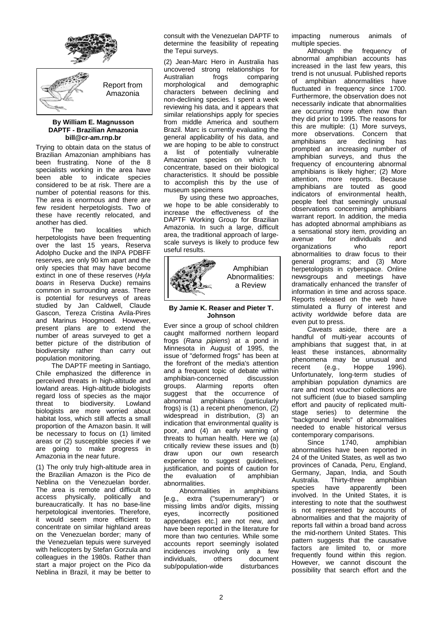

### **By William E. Magnusson DAPTF - Brazilian Amazonia bill@cr-am.rnp.br**

Trying to obtain data on the status of Brazilian Amazonian amphibians has been frustrating. None of the 8 specialists working in the area have been able to indicate species considered to be at risk. There are a number of potential reasons for this. The area is enormous and there are few resident herpetologists. Two of these have recently relocated, and another has died.

localities which herpetologists have been frequenting over the last 15 years, Reserva Adolpho Ducke and the INPA PDBFF reserves, are only 90 km apart and the only species that may have become extinct in one of these reserves (*Hyla boans* in Reserva Ducke) remains common in surrounding areas. There is potential for resurveys of areas studied by Jan Caldwell, Claude Gascon, Tereza Cristina Avila-Pires and Marinus Hoogmoed. However, present plans are to extend the number of areas surveyed to get a better picture of the distribution of biodiversity rather than carry out population monitoring.

The DAPTF meeting in Santiago, Chile emphasized the difference in perceived threats in high-altitude and lowland areas. High-altitude biologists regard loss of species as the major threat to biodiversity. Lowland biologists are more worried about habitat loss, which still affects a small proportion of the Amazon basin. It will be necessary to focus on (1) limited areas or (2) susceptible species if we are going to make progress in Amazonia in the near future.

(1) The only truly high-altitude area in the Brazilian Amazon is the Pico de Neblina on the Venezuelan border. The area is remote and difficult to access physically, politically and bureaucratically. It has no base-line herpetological inventories. Therefore, it would seem more efficient to concentrate on similar highland areas on the Venezuelan border; many of the Venezuelan tepuis were surveyed with helicopters by Stefan Gorzula and colleagues in the 1980s. Rather than start a major project on the Pico da Neblina in Brazil, it may be better to

consult with the Venezuelan DAPTF to determine the feasibility of repeating the Tepui surveys.

(2) Jean-Marc Hero in Australia has uncovered strong relationships for<br>Australian frogs comparing rogs comparing<br>and demographic morphological characters between declining and non-declining species. I spent a week reviewing his data, and it appears that similar relationships apply for species from middle America and southern Brazil. Marc is currently evaluating the general applicability of his data, and we are hoping to be able to construct a list of potentially vulnerable Amazonian species on which to concentrate, based on their biological characteristics. It should be possible to accomplish this by the use of museum specimens

By using these two approaches, we hope to be able considerably to increase the effectiveness of the DAPTF Working Group for Brazilian Amazonia. In such a large, difficult area, the traditional approach of largescale surveys is likely to produce few useful results.



# **By Jamie K. Reaser and Pieter T. Johnson**

Ever since a group of school children caught malformed northern leopard frogs (*Rana pipiens*) at a pond in Minnesota in August of 1995, the issue of "deformed frogs" has been at the forefront of the media's attention and a frequent topic of debate within amphibian-concerned discussion groups. Alarming reports often suggest that the occurrence of abnormal amphibians (particularly frogs) is (1) a recent phenomenon, (2) widespread in distribution, (3) an indication that environmental quality is poor, and (4) an early warning of threats to human health. Here we (a) critically review these issues and (b)<br>draw upon our own research upon our own experience to suggest guidelines, justification, and points of caution for the evaluation of amphibian abnormalities.

Abnormalities in amphibians [e.g., extra ("supernumerary") or missing limbs and/or digits, missing eyes, incorrectly positioned appendages etc.] are not new, and have been reported in the literature for more than two centuries. While some accounts report seemingly isolated incidences involving only a few<br>individuals, others document individuals, others document<br>sub/population-wide disturbances sub/population-wide

impacting numerous animals of

multiple species.<br>Although the frequency of abnormal amphibian accounts has increased in the last few years, this trend is not unusual. Published reports of amphibian abnormalities have fluctuated in frequency since 1700. Furthermore, the observation does not necessarily indicate that abnormalities are occurring more often now than they did prior to 1995. The reasons for this are multiple: (1) More surveys, more observations. Concern that amphibians are declining has prompted an increasing number of amphibian surveys, and thus the frequency of encountering abnormal amphibians is likely higher; (2) More attention, more reports. Because amphibians are touted as good indicators of environmental health, people feel that seemingly unusual observations concerning amphibians warrant report. In addition, the media has adopted abnormal amphibians as a sensational story item, providing an<br>avenue for individuals and individuals and<br>who report organizations abnormalities to draw focus to their general programs; and (3) More herpetologists in cyberspace. Online newsgroups and meetings have dramatically enhanced the transfer of information in time and across space. Reports released on the web have stimulated a flurry of interest and activity worldwide before data are even put to press.

Caveats aside, there are a handful of multi-year accounts of amphibians that suggest that, in at least these instances, abnormality phenomena may be unusual and<br>recent (e.g., Hoppe 1996). Hoppe Unfortunately, long-term studies of amphibian population dynamics are rare and most voucher collections are not sufficient (due to biased sampling effort and paucity of replicated multistage series) to determine the "background levels" of abnormalities needed to enable historical versus

contemporary comparisons.<br>Since 1740, amphibian abnormalities have been reported in 24 of the United States, as well as two provinces of Canada, Peru, England, Germany, Japan, India, and South<br>Australia. Thirty-three amphibian Australia. Thirty-three amphibian<br>species have apparently been apparently involved. In the United States, it is interesting to note that the southwest is not represented by accounts of abnormalities and that the majority of reports fall within a broad band across the mid-northern United States. This pattern suggests that the causative factors are limited to, or more frequently found within this region. However, we cannot discount the possibility that search effort and the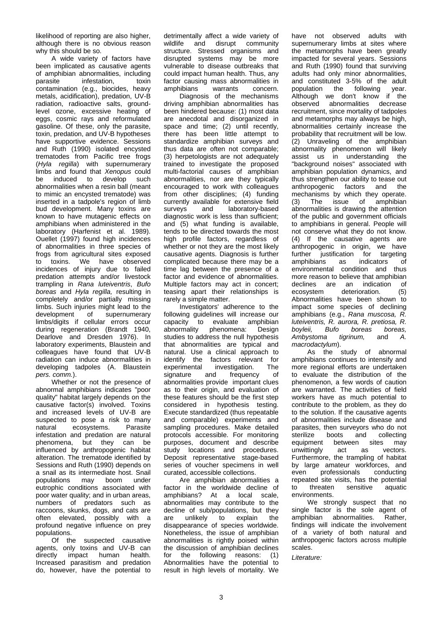likelihood of reporting are also higher, although there is no obvious reason why this should be so.

A wide variety of factors have been implicated as causative agents of amphibian abnormalities, including<br>parasite infestation, toxin infestation, contamination (e.g., biocides, heavy metals, acidification), predation, UV-B radiation, radioactive salts, groundlevel ozone, excessive heating of eggs, cosmic rays and reformulated gasoline. Of these, only the parasite, toxin, predation, and UV-B hypotheses have supportive evidence. Sessions and Ruth (1990) isolated encysted trematodes from Pacific tree frogs (*Hyla regilla*) with supernumerary limbs and found that *Xenopus* could be induced to develop such abnormalities when a resin ball (meant to mimic an encysted trematode) was inserted in a tadpole's region of limb bud development. Many toxins are known to have mutagenic effects on amphibians when administered in the laboratory (Harfenist et al. 1989). Ouellet (1997) found high incidences of abnormalities in three species of frogs from agricultural sites exposed to toxins. We have observed incidences of injury due to failed predation attempts and/or livestock trampling in *Rana luteiventris*, *Bufo boreas* and *Hyla regilla,* resulting in completely and/or partially missing limbs. Such injuries might lead to the development of supernumerary limbs/digits if cellular errors occur during regeneration (Brandt 1940, Dearlove and Dresden 1976). In laboratory experiments, Blaustein and colleagues have found that UV-B radiation can induce abnormalities in developing tadpoles (A. Blaustein *pers. comm.*).

Whether or not the presence of abnormal amphibians indicates "poor quality" habitat largely depends on the causative factor(s) involved. Toxins and increased levels of UV-B are suspected to pose a risk to many<br>natural ecosystems. Parasite ecosystems. infestation and predation are natural phenomena, but they can be influenced by anthropogenic habitat alteration. The trematode identified by Sessions and Ruth (1990) depends on a snail as its intermediate host. Snail populations may boom under eutrophic conditions associated with poor water quality; and in urban areas, numbers of predators such as raccoons, skunks, dogs, and cats are often elevated, possibly with a profound negative influence on prey populations.<br>Of the

suspected causative agents, only toxins and UV-B can directly impact human health. Increased parasitism and predation do, however, have the potential to

detrimentally affect a wide variety of wildlife and disrupt community structure. Stressed organisms and disrupted systems may be more vulnerable to disease outbreaks that could impact human health. Thus, any factor causing mass abnormalities in<br>amphibians warrants concern amphibians

Diagnosis of the mechanisms driving amphibian abnormalities has been hindered because: (1) most data are anecdotal and disorganized in space and time; (2) until recently, there has been little attempt to standardize amphibian surveys and thus data are often not comparable; (3) herpetologists are not adequately trained to investigate the proposed multi-factorial causes of amphibian abnormalities, nor are they typically encouraged to work with colleagues from other disciplines; (4) funding currently available for extensive field<br>surveys and laboratory-based laboratory-based diagnostic work is less than sufficient; and (5) what funding is available, tends to be directed towards the most high profile factors, regardless of whether or not they are the most likely causative agents. Diagnosis is further complicated because there may be a time lag between the presence of a factor and evidence of abnormalities. Multiple factors may act in concert; teasing apart their relationships is rarely a simple matter.

Investigators' adherence to the following guidelines will increase our<br>capacity to evaluate amphibian to evaluate amphibian<br>v phenomena: Design abnormality phenomena: studies to address the null hypothesis that abnormalities are typical and natural. Use a clinical approach to identify the factors relevant for<br>experimental investigation. The experimental investigation. The<br>signature and frequency of frequency abnormalities provide important clues as to their origin, and evaluation of these features should be the first step considered in hypothesis testing. Execute standardized (thus repeatable and comparable) experiments and sampling procedures. Make detailed protocols accessible. For monitoring purposes, document and describe study locations and procedures. Deposit representative stage-based series of voucher specimens in well curated, accessible collections.

Are amphibian abnormalities a factor in the worldwide decline of amphibians? At a local scale, abnormalities may contribute to the decline of sub/populations, but they<br>are unlikely to explain the are unlikely to explain the disappearance of species worldwide. Nonetheless, the issue of amphibian abnormalities is rightly poised within the discussion of amphibian declines for the following reasons: (1) Abnormalities have the potential to result in high levels of mortality. We have not observed adults with supernumerary limbs at sites where the metamorphs have been greatly impacted for several years. Sessions and Ruth (1990) found that surviving adults had only minor abnormalities, and constituted 3-5% of the adult<br>population the following year. population Although we don't know if the<br>observed abnormalities decrease abnormalities decrease recruitment, since mortality of tadpoles and metamorphs may always be high, abnormalities certainly increase the probability that recruitment will be low. (2) Unraveling of the amphibian abnormality phenomenon will likely assist us in understanding the "background noises" associated with amphibian population dynamics, and thus strengthen our ability to tease out<br>anthropogenic factors and the anthropogenic factors and mechanisms by which they operate.<br>(3) The issue of amphibian issue of abnormalities is drawing the attention of the public and government officials to amphibians in general. People will not conserve what they do not know. (4) If the causative agents are anthropogenic in origin, we have further justification for targeting amphibians as indicators of environmental condition and thus more reason to believe that amphibian<br>declines are an indication of declines are an indication ecosystem deterioration. (5) Abnormalities have been shown to impact some species of declining amphibians (e.g., *Rana muscosa, R. luteiventris, R. aurora, R. pretiosa, R. a*<br>*boreas boreas, boreas, boreas, and A. Ambystoma macrodactylum*).

As the study of abnormal amphibians continues to intensify and more regional efforts are undertaken to evaluate the distribution of the phenomenon, a few words of caution are warranted. The activities of field workers have as much potential to contribute to the problem, as they do to the solution. If the causative agents of abnormalities include disease and parasites, then surveyors who do not sterilize boots and collecting equipment between sites may<br>unwittingly act as vectors. unwittingly act as vectors. Furthermore, the trampling of habitat by large amateur workforces, and<br>even professionals conducting professionals repeated site visits, has the potential<br>to threaten sensitive aquatic to threaten sensitive environments.

We strongly suspect that no single factor is the sole agent of amphibian abnormalities. Rather, findings will indicate the involvement of a variety of both natural and anthropogenic factors across multiple scales.

*Literature:*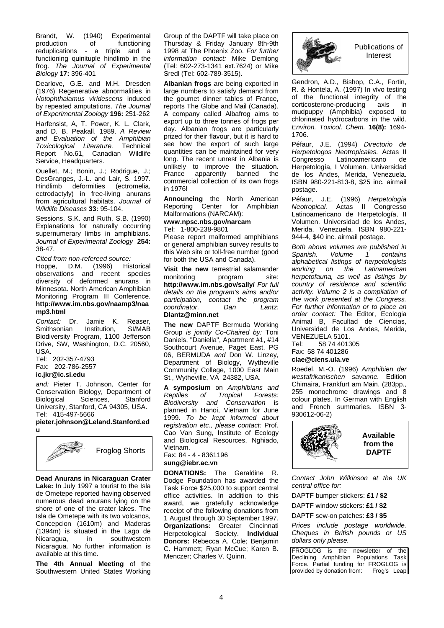Brandt, W. (1940) Experimental<br>production of functioning production of functioning reduplications - a triple and a functioning quinituple hindlimb in the frog. *The Journal of Experimental Biology* **17:** 396-401

Dearlove, G.E. and M.H. Dresden (1976) Regenerative abnormalities in *Notophthalamus viridescens* induced by repeated amputations. *The Journal of Experimental Zoology* **196:** 251-262

Harfensist, A, T. Power, K. L. Clark, and D. B. Peakall. 1989. *A Review and Evaluation of the Amphibian*  **Toxicological Literature.** Report No.61, Canadian Wildlife Service, Headquarters.

Ouellet, M.; Bonin, J.; Rodrigue, J.; DesGranges, J.-L. and Lair, S. 1997.<br>Hindlimb deformities (ectromelia, deformities ectrodactyly) in free-living anurans from agricultural habitats. *Journal of Wildlife Diseases* **33:** 95-104.

Sessions, S.K. and Ruth, S.B. (1990) Explanations for naturally occurring supernumerary limbs in amphibians. *Journal of Experimental Zoology* **254:**  38-47.

*Cited from non-refereed source:* Hoppe, D.M. (1996) Historical observations and recent species diversity of deformed anurans in Minnesota. North American Amphibian Monitoring Program III Conference. **http://www.im.nbs.gov/naamp3/naa mp3.html**

*Contact:* Dr. Jamie K. Reaser, Smithsonian Biodiversity Program, 1100 Jefferson Drive, SW, Washington, D.C. 20560, USA.

Tel: 202-357-4793 Fax: 202-786-2557

# **ic.jkr@ic.si.edu**

*and:* Pieter T. Johnson, Center for Conservation Biology, Department of<br>Biological Sciences, Stanford Sciences, University, Stanford, CA 94305, USA. Tel: 415-497-5666

**pieter.johnson@Leland.Stanford.ed u**



**Dead Anurans in Nicaraguan Crater Lake:** In July 1997 a tourist to the Isla de Ometepe reported having observed numerous dead anurans lying on the shore of one of the crater lakes. The Isla de Ometepe with its two volcanos, Concepcion (1610m) and Maderas (1394m) is situated in the Lago de in southwestern Nicaragua. No further information is available at this time.

**The 4th Annual Meeting** of the Southwestern United States Working

Group of the DAPTF will take place on Thursday & Friday January 8th-9th 1998 at The Phoenix Zoo. *For further information contact:* Mike Demlong (Tel: 602-273-1341 ext.7624) or Mike Sredl (Tel: 602-789-3515).

**Albanian frogs** are being exported in large numbers to satisfy demand from the goumet dinner tables of France, reports The Globe and Mail (Canada). A company called Albafrog aims to export up to three tonnes of frogs per day. Albanian frogs are particularly prized for their flavour, but it is hard to see how the export of such large quantities can be maintained for very long. The recent unrest in Albania is unlikely to improve the situation.<br>France apparently banned the France apparently banned commercial collection of its own frogs in 1976!

**Announcing** the North American Reporting Center for Amphibian Malformations (NARCAM):

**www.npsc.nbs.gov/narcam** Tel: 1-800-238-9801

Please report malformed amphibians or general amphibian survey results to this Web site or toll-free number (good for both the USA and Canada).

**Visit the new** terrestrial salamander<br>monitoring program site: monitoring **http://www.im.nbs.gov/sally/** *For full details on the program's aims and/or participation, contact the program*   $coordinator$ , **Dlantz@minn.net**

**The new** DAPTF Bermuda Working Group *is jointly Co-Chaired by:* Toni Daniels, "Daniella", Apartment #1, #14 Southcourt Avenue, Paget East, PG 06, BERMUDA *and* Don W. Linzey, Department of Biology, Wytheville Community College, 1000 East Main St., Wytheville, VA 24382, USA.

**A symposium** on *Amphibians and Reptiles of Tropical Forests: Biodiversity and Conservation* is planned in Hanoi, Vietnam for June 1999. *To be kept informed about registration etc., please contact:* Prof. Cao Van Sung, Institute of Ecology and Biological Resources, Nghiado, Vietnam. Fax: 84 - 4 - 8361196

# **sung@iebr.ac.vn**

**DONATIONS:** The Geraldine R. Dodge Foundation has awarded the Task Force \$25,000 to support central office activities. In addition to this award, we gratefully acknowledge receipt of the following donations from 1 August through 30 September 1997. **Organizations:** Greater Cincinnati Herpetological Society. **Individual Donors:** Rebecca A. Cole; Benjamin C. Hammett; Ryan McCue; Karen B. Menczer; Charles V. Quinn.

Publications of Interest

Gendron, A.D., Bishop, C.A., Fortin, R. & Hontela, A. (1997) In vivo testing of the functional integrity of the<br>corticosterone-producing axis in corticosterone-producing mudpuppy (Amphibia) exposed to chlorinated hydrocarbons in the wild. *Environ. Toxicol. Chem.* **16(8):** 1694- 1706.

Péfaur, J.E. (1994) *Directorio de Herpetologos Neotropicales.* Actas II Latinoamericano Herpetología, I Volumen. Universidad de los Andes, Merida, Venezuela. ISBN 980-221-813-8, \$25 inc. airmail postage.

Péfaur, J.E. (1996) *Herpetología Neotropical.* Actas II Congresso Latinoamericano de Herpetología, II Volumen. Universidad de los Andes, Merida, Venezuela. ISBN 980-221- 944-4, \$40 inc. airmail postage.

*Both above volumes are published in Spanish. Volume 1 contains alphabetical listings of herpetologists*   $L$ atinamerican *herpetofauna, as well as listings by country of residence and scientific activity. Volume 2 is a compilation of the work presented at the Congress. For further information or to place an order contact:* The Editor, Ecologia Animal B, Facultad de Ciencias, Universidad de Los Andes, Merida, VENEZUELA 5101.<br>Tel: 58 74 4013

58 74 401305 Fax: 58 74 401286 **clae@ciens.ula.ve**

Roedel, M.-O. (1996) *Amphibien der westafrikanischen savanne.* Edition Chimaira, Frankfurt am Main. (283pp., 255 monochrome drawings and 8 colour plates. In German with English and French summaries. ISBN 3- 930612-06-2)



*Contact John Wilkinson at the UK central office for:*

DAPTF bumper stickers: **£1 / \$2**

DAPTF window stickers: **£1 / \$2**

DAPTF sew-on patches: **£3 / \$5**

*Prices include postage worldwide. Cheques in British pounds or US dollars only please.*

FROGLOG is the newsletter of the Declining Amphibian Populations Task Force. Partial funding for FROGLOG is provided by donation from: Frog's Leap